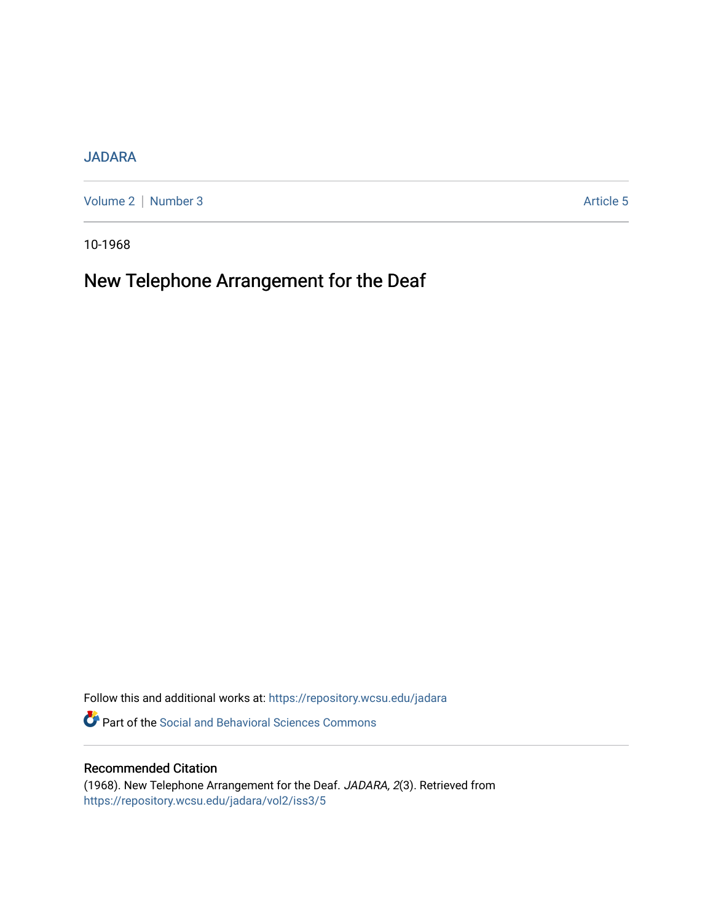# [JADARA](https://repository.wcsu.edu/jadara)

[Volume 2](https://repository.wcsu.edu/jadara/vol2) | [Number 3](https://repository.wcsu.edu/jadara/vol2/iss3) Article 5

10-1968

# New Telephone Arrangement for the Deaf

Follow this and additional works at: [https://repository.wcsu.edu/jadara](https://repository.wcsu.edu/jadara?utm_source=repository.wcsu.edu%2Fjadara%2Fvol2%2Fiss3%2F5&utm_medium=PDF&utm_campaign=PDFCoverPages)

Part of the [Social and Behavioral Sciences Commons](http://network.bepress.com/hgg/discipline/316?utm_source=repository.wcsu.edu%2Fjadara%2Fvol2%2Fiss3%2F5&utm_medium=PDF&utm_campaign=PDFCoverPages) 

## Recommended Citation

(1968). New Telephone Arrangement for the Deaf. JADARA, 2(3). Retrieved from [https://repository.wcsu.edu/jadara/vol2/iss3/5](https://repository.wcsu.edu/jadara/vol2/iss3/5?utm_source=repository.wcsu.edu%2Fjadara%2Fvol2%2Fiss3%2F5&utm_medium=PDF&utm_campaign=PDFCoverPages)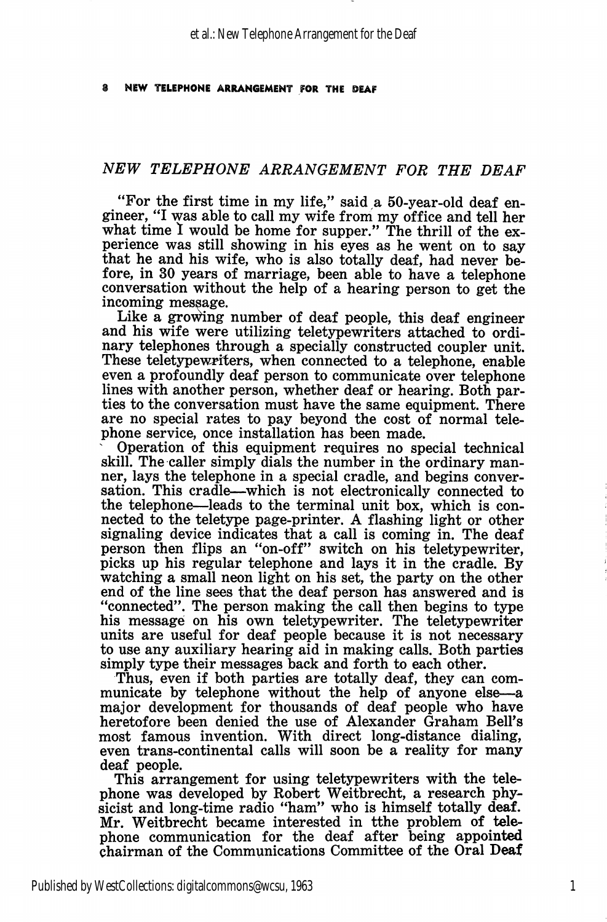#### NEW TELEPHONE ARRANGEMENT FOR THE BEAR

## NEW TELEPHONE ARRANGEMENT FOR THE DEAF

"For the first time in my life," said a 50-year-old deaf en gineer, "I was able to call my wife from my office and tell her what time I would be home for supper." The thrill of the experience was still showing in his eyes as he went on to say that he and his wife, who is also totally deaf, had never be fore, in 30 years of marriage, been able to have a telephone conversation without the help of a hearing person to get the incoming message.

Like a growing number of deaf people, this deaf engineer and his wife were utilizing teletypewriters attached to ordi nary telephones through a specially constructed coupler unit. These teletypewriters, when connected to a telephone, enable even a profoundly deaf person to communicate over telephone lines with another person, whether deaf or hearing. Both par ties to the conversation must have the same equipment. There are no special rates to pay beyond the cost of normal tele phone service, once installation has been made.

Operation of this equipment requires no special technical skill. The caller simply dials the number in the ordinary man ner, lays the telephone in a special cradle, and begins conver sation. This cradle—which is not electronically connected to the telephone—leads to the terminal unit box, which is con nected to the teletype page-printer. A flashing light or other signaling device indicates that a call is coming in. The deaf person then flips an "on-off" switch on his teletypewriter, picks up his regular telephone and lays it in the cradle. By watching a small neon light on his set, the party on the other end of the line sees that the deaf person has answered and is "connected". The person making the call then begins to type his message on his own teletypewriter. The teletypewriter units are useful for deaf people because it is not necessary to use any auxiliary hearing aid in making calls. Both parties simply type their messages back and forth to each other.

Thus, even if both parties are totally deaf, they can com municate by telephone without the help of anyone else—a major development for thousands of deaf people who have heretofore been denied the use of Alexander Graham Bell's most famous invention. With direct long-distance dialing, even trans-continental calls will soon be a reality for many deaf people.

This arrangement for using teletypewriters with the telephone was developed by Robert Weitbrecht, a research phy sicist and long-time radio "ham" who is himself totally deaf. Mr. Weitbrecht became interested in tthe problem of tele phone communication for the deaf after being appointed chairman of the Communications Committee of the Oral Deaf